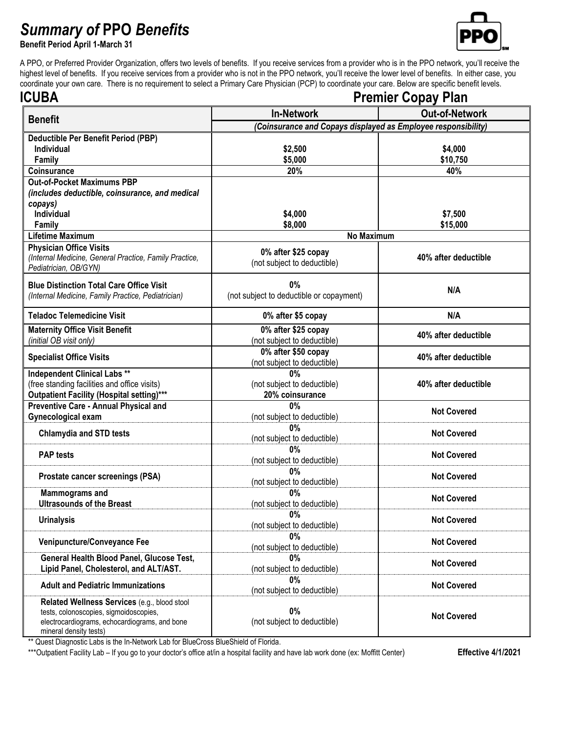## *Summary of* **PPO** *Benefits*

**Benefit Period April 1-March 31**



A PPO, or Preferred Provider Organization, offers two levels of benefits. If you receive services from a provider who is in the PPO network, you'll receive the highest level of benefits. If you receive services from a provider who is not in the PPO network, you'll receive the lower level of benefits. In either case, you coordinate your own care. There is no requirement to select a Primary Care Physician (PCP) to coordinate your care. Below are specific benefit levels.

| <b>ICUBA</b>                                           | <b>Premier Copay Plan</b>                                     |                       |  |
|--------------------------------------------------------|---------------------------------------------------------------|-----------------------|--|
| <b>Benefit</b>                                         | <b>In-Network</b>                                             | <b>Out-of-Network</b> |  |
|                                                        | (Coinsurance and Copays displayed as Employee responsibility) |                       |  |
| Deductible Per Benefit Period (PBP)                    |                                                               |                       |  |
| Individual                                             | \$2,500                                                       | \$4,000               |  |
| Family                                                 | \$5,000                                                       | \$10,750              |  |
| Coinsurance                                            | 20%                                                           | 40%                   |  |
| <b>Out-of-Pocket Maximums PBP</b>                      |                                                               |                       |  |
| (includes deductible, coinsurance, and medical         |                                                               |                       |  |
| copays)<br><b>Individual</b>                           | \$4,000                                                       |                       |  |
| Family                                                 | \$8,000                                                       | \$7,500<br>\$15,000   |  |
| <b>Lifetime Maximum</b>                                | No Maximum                                                    |                       |  |
| <b>Physician Office Visits</b>                         |                                                               |                       |  |
| (Internal Medicine, General Practice, Family Practice, | 0% after \$25 copay                                           | 40% after deductible  |  |
| Pediatrician, OB/GYN)                                  | (not subject to deductible)                                   |                       |  |
|                                                        |                                                               |                       |  |
| <b>Blue Distinction Total Care Office Visit</b>        | 0%                                                            | N/A                   |  |
| (Internal Medicine, Family Practice, Pediatrician)     | (not subject to deductible or copayment)                      |                       |  |
| <b>Teladoc Telemedicine Visit</b>                      | 0% after \$5 copay                                            | N/A                   |  |
| <b>Maternity Office Visit Benefit</b>                  | 0% after \$25 copay                                           |                       |  |
| (initial OB visit only)                                | (not subject to deductible)                                   | 40% after deductible  |  |
| <b>Specialist Office Visits</b>                        | 0% after \$50 copay                                           | 40% after deductible  |  |
|                                                        | (not subject to deductible)                                   |                       |  |
| <b>Independent Clinical Labs **</b>                    | 0%                                                            |                       |  |
| (free standing facilities and office visits)           | (not subject to deductible)                                   | 40% after deductible  |  |
| Outpatient Facility (Hospital setting)***              | 20% coinsurance                                               |                       |  |
| Preventive Care - Annual Physical and                  | $0\%$                                                         | <b>Not Covered</b>    |  |
| Gynecological exam                                     | (not subject to deductible)                                   |                       |  |
| <b>Chlamydia and STD tests</b>                         | 0%                                                            | <b>Not Covered</b>    |  |
|                                                        | (not subject to deductible)                                   |                       |  |
| <b>PAP</b> tests                                       | $0\%$                                                         | <b>Not Covered</b>    |  |
|                                                        | (not subject to deductible)<br>$0\%$                          |                       |  |
| Prostate cancer screenings (PSA)                       | (not subject to deductible)                                   | <b>Not Covered</b>    |  |
| <b>Mammograms and</b>                                  | 0%                                                            |                       |  |
| <b>Ultrasounds of the Breast</b>                       | (not subject to deductible)                                   | <b>Not Covered</b>    |  |
|                                                        | $0\%$                                                         |                       |  |
| <b>Urinalysis</b>                                      | (not subject to deductible)                                   | <b>Not Covered</b>    |  |
|                                                        | $0\%$                                                         |                       |  |
| Venipuncture/Conveyance Fee                            | (not subject to deductible)                                   | <b>Not Covered</b>    |  |
| General Health Blood Panel, Glucose Test,              | $0\%$                                                         | <b>Not Covered</b>    |  |
| Lipid Panel, Cholesterol, and ALT/AST.                 | (not subject to deductible)                                   |                       |  |
| <b>Adult and Pediatric Immunizations</b>               | $0\%$<br>(not subject to deductible)                          | <b>Not Covered</b>    |  |
| Related Wellness Services (e.g., blood stool           |                                                               |                       |  |
| tests, colonoscopies, sigmoidoscopies,                 | $0\%$                                                         |                       |  |
| electrocardiograms, echocardiograms, and bone          | (not subject to deductible)                                   | <b>Not Covered</b>    |  |
| mineral density tests)                                 |                                                               |                       |  |

\*\* Quest Diagnostic Labs is the In-Network Lab for BlueCross BlueShield of Florida.

\*\*\*Outpatient Facility Lab - If you go to your doctor's office at/in a hospital facility and have lab work done (ex: Moffitt Center) **Effective 4/1/2021**